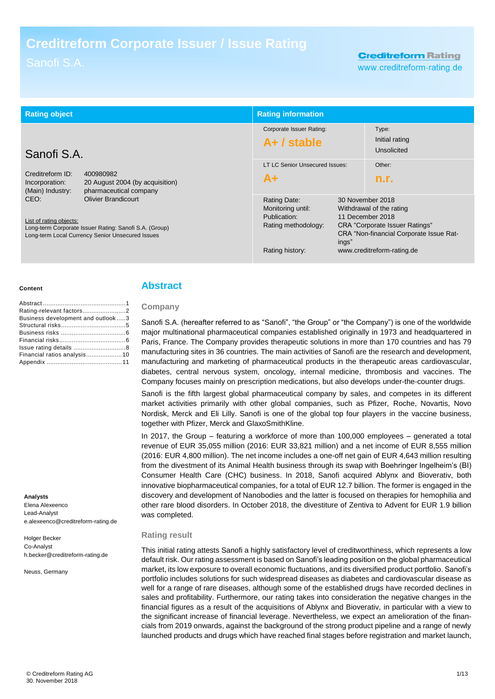# **Creditreform Corporate Issuer / Issue Rating**

# **Creditreform Rating**

www.creditreform-rating.de

| <b>Rating object</b>                                                                                                                                                        |                                                                        | <b>Rating information</b>                                                                   |                                               |                                                                                                                                                   |
|-----------------------------------------------------------------------------------------------------------------------------------------------------------------------------|------------------------------------------------------------------------|---------------------------------------------------------------------------------------------|-----------------------------------------------|---------------------------------------------------------------------------------------------------------------------------------------------------|
| Sanofi S.A.                                                                                                                                                                 |                                                                        | Corporate Issuer Rating:<br>$A+ /$ stable                                                   |                                               | Type:<br>Initial rating<br>Unsolicited                                                                                                            |
| Creditreform ID:<br>Incorporation:<br>(Main) Industry:                                                                                                                      | 400980982<br>20 August 2004 (by acquisition)<br>pharmaceutical company | LT LC Senior Unsecured Issues:<br>$A+$                                                      |                                               | Other:<br>n.r.                                                                                                                                    |
| <b>Olivier Brandicourt</b><br>CEO.<br>List of rating objects:<br>Long-term Corporate Issuer Rating: Sanofi S.A. (Group)<br>Long-term Local Currency Senior Unsecured Issues |                                                                        | Rating Date:<br>Monitoring until:<br>Publication:<br>Rating methodology:<br>Rating history: | 30 November 2018<br>11 December 2018<br>ings" | Withdrawal of the rating<br><b>CRA</b> "Corporate Issuer Ratings"<br><b>CRA "Non-financial Corporate Issue Rat-</b><br>www.creditreform-rating.de |

#### **Content**

| Business development and outlook3 |  |
|-----------------------------------|--|
|                                   |  |
|                                   |  |
|                                   |  |
|                                   |  |
| Financial ratios analysis10       |  |
|                                   |  |

#### **Analysts**

Elena Alexeenco Lead-Analyst e.alexeenco@creditreform-rating.de

Holger Becker Co-Analyst h.becker@creditreform-rating.de

Neuss, Germany

### **Abstract**

### **Company**

Sanofi S.A. (hereafter referred to as "Sanofi", "the Group" or "the Company") is one of the worldwide major multinational pharmaceutical companies established originally in 1973 and headquartered in Paris, France. The Company provides therapeutic solutions in more than 170 countries and has 79 manufacturing sites in 36 countries. The main activities of Sanofi are the research and development, manufacturing and marketing of pharmaceutical products in the therapeutic areas [cardiovascular,](https://en.wikipedia.org/wiki/Circulatory_system) [diabetes,](https://en.wikipedia.org/wiki/Diabetes) [central nervous system,](https://en.wikipedia.org/wiki/Central_nervous_system) [oncology,](https://en.wikipedia.org/wiki/Oncology) [internal medicine,](https://en.wikipedia.org/wiki/Internal_medicine) [thrombosis](https://en.wikipedia.org/wiki/Thrombosis) and [vaccines.](https://en.wikipedia.org/wiki/Vaccine) The Company focuses mainly on prescription medications, but also develops under-the-counter drugs.

Sanofi is the fifth largest global pharmaceutical company by sales, and competes in its different market activities primarily with other global companies, such as Pfizer, Roche, Novartis, Novo Nordisk, Merck and Eli Lilly. Sanofi is one of the global top four players in the vaccine business, together with Pfizer, Merck and GlaxoSmithKline.

In 2017, the Group – featuring a workforce of more than 100,000 employees – generated a total revenue of EUR 35,055 million (2016: EUR 33,821 million) and a net income of EUR 8,555 million (2016: EUR 4,800 million). The net income includes a one-off net gain of EUR 4,643 million resulting from the divestment of its Animal Health business through its swap with Boehringer Ingelheim's (BI) Consumer Health Care (CHC) business. In 2018, Sanofi acquired Ablynx and Bioverativ, both innovative biopharmaceutical companies, for a total of EUR 12.7 billion. The former is engaged in the discovery and development of Nanobodies and the latter is focused on therapies for hemophilia and other rare blood disorders. In October 2018, the divestiture of Zentiva to Advent for EUR 1.9 billion was completed.

### **Rating result**

This initial rating attests Sanofi a highly satisfactory level of creditworthiness, which represents a low default risk. Our rating assessment is based on Sanofi's leading position on the global pharmaceutical market, its low exposure to overall economic fluctuations, and its diversified product portfolio. Sanofi's portfolio includes solutions for such widespread diseases as diabetes and cardiovascular disease as well for a range of rare diseases, although some of the established drugs have recorded declines in sales and profitability. Furthermore, our rating takes into consideration the negative changes in the financial figures as a result of the acquisitions of Ablynx and Bioverativ, in particular with a view to the significant increase of financial leverage. Nevertheless, we expect an amelioration of the financials from 2019 onwards, against the background of the strong product pipeline and a range of newly launched products and drugs which have reached final stages before registration and market launch,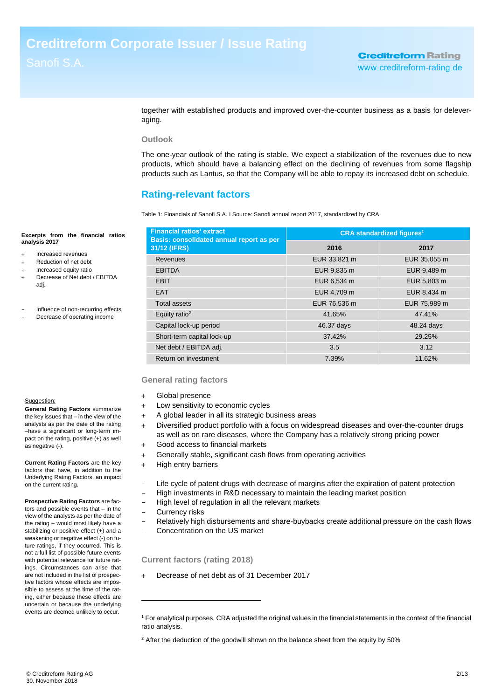together with established products and improved over-the-counter business as a basis for deleveraging.

### **Outlook**

The one-year outlook of the rating is stable. We expect a stabilization of the revenues due to new products, which should have a balancing effect on the declining of revenues from some flagship products such as Lantus, so that the Company will be able to repay its increased debt on schedule.

## **Rating-relevant factors**

Table 1: Financials of Sanofi S.A. I Source: Sanofi annual report 2017, standardized by CRA

| <b>Financial ratios' extract</b><br><b>Basis: consolidated annual report as per</b> | <b>CRA</b> standardized figures <sup>1</sup> |              |  |
|-------------------------------------------------------------------------------------|----------------------------------------------|--------------|--|
| 31/12 (IFRS)                                                                        | 2016                                         | 2017         |  |
| Revenues                                                                            | EUR 33,821 m                                 | EUR 35,055 m |  |
| <b>EBITDA</b>                                                                       | EUR 9,835 m                                  | EUR 9,489 m  |  |
| <b>FBIT</b>                                                                         | EUR 6,534 m                                  | EUR 5,803 m  |  |
| <b>EAT</b>                                                                          | EUR 4.709 m                                  | EUR 8,434 m  |  |
| Total assets                                                                        | EUR 76,536 m                                 | EUR 75,989 m |  |
| Equity ratio <sup>2</sup>                                                           | 41.65%                                       | 47.41%       |  |
| Capital lock-up period                                                              | 46.37 days                                   | 48.24 days   |  |
| Short-term capital lock-up                                                          | 37.42%                                       | 29.25%       |  |
| Net debt / EBITDA adj.                                                              | 3.5                                          | 3.12         |  |
| Return on investment                                                                | 7.39%                                        | 11.62%       |  |

### **General rating factors**

- Global presence
- Low sensitivity to economic cycles
- A global leader in all its strategic business areas
- Diversified product portfolio with a focus on widespread diseases and over-the-counter drugs as well as on rare diseases, where the Company has a relatively strong pricing power
- Good access to financial markets
- Generally stable, significant cash flows from operating activities
- $+$  High entry barriers
- Life cycle of patent drugs with decrease of margins after the expiration of patent protection High investments in R&D necessary to maintain the leading market position
- High level of regulation in all the relevant markets
- Currency risks

-

- Relatively high disbursements and share-buybacks create additional pressure on the cash flows
- Concentration on the US market

### **Current factors (rating 2018)**

Decrease of net debt as of 31 December 2017

Suggestion:

**analysis 2017**

adj.

**General Rating Factors** summarize the key issues that – in the view of the analysts as per the date of the rating –have a significant or long-term impact on the rating, positive (+) as well as negative (-).

**Excerpts from the financial ratios** 

Influence of non-recurring effects Decrease of operating income

 Increased revenues Reduction of net debt Increased equity ratio Decrease of Net debt / EBITDA

**Current Rating Factors** are the key factors that have, in addition to the Underlying Rating Factors, an impact on the current rating.

**Prospective Rating Factors** are factors and possible events that – in the view of the analysts as per the date of the rating – would most likely have a stabilizing or positive effect (+) and a weakening or negative effect (-) on future ratings, if they occurred. This is not a full list of possible future events with potential relevance for future ratings. Circumstances can arise that are not included in the list of prospective factors whose effects are impossible to assess at the time of the rating, either because these effects are uncertain or because the underlying events are deemed unlikely to occur.

<sup>1</sup> For analytical purposes, CRA adjusted the original values in the financial statements in the context of the financial ratio analysis.

 $2$  After the deduction of the goodwill shown on the balance sheet from the equity by 50%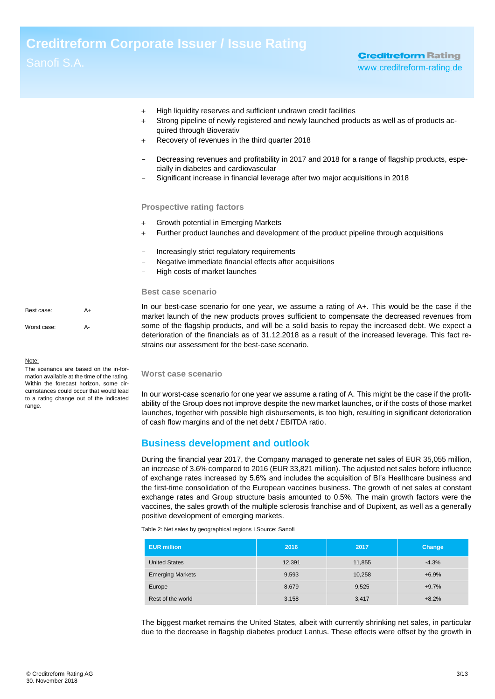- $+$  High liquidity reserves and sufficient undrawn credit facilities
- Strong pipeline of newly registered and newly launched products as well as of products acquired through Bioverativ
- Recovery of revenues in the third quarter 2018
- Decreasing revenues and profitability in 2017 and 2018 for a range of flagship products, especially in diabetes and cardiovascular
- Significant increase in financial leverage after two major acquisitions in 2018

#### **Prospective rating factors**

- Growth potential in Emerging Markets
- Further product launches and development of the product pipeline through acquisitions
- Increasingly strict regulatory requirements
- Negative immediate financial effects after acquisitions
- High costs of market launches

#### **Best case scenario**

Best case: A+ Worst case: A-

range.

In our best-case scenario for one year, we assume a rating of A+. This would be the case if the market launch of the new products proves sufficient to compensate the decreased revenues from some of the flagship products, and will be a solid basis to repay the increased debt. We expect a deterioration of the financials as of 31.12.2018 as a result of the increased leverage. This fact restrains our assessment for the best-case scenario.

#### **Worst case scenario**

<span id="page-2-0"></span>In our worst-case scenario for one year we assume a rating of A. This might be the case if the profitability of the Group does not improve despite the new market launches, or if the costs of those market launches, together with possible high disbursements, is too high, resulting in significant deterioration of cash flow margins and of the net debt / EBITDA ratio.

### **Business development and outlook**

During the financial year 2017, the Company managed to generate net sales of EUR 35,055 million, an increase of 3.6% compared to 2016 (EUR 33,821 million). The adjusted net sales before influence of exchange rates increased by 5.6% and includes the acquisition of BI's Healthcare business and the first-time consolidation of the European vaccines business. The growth of net sales at constant exchange rates and Group structure basis amounted to 0.5%. The main growth factors were the vaccines, the sales growth of the multiple sclerosis franchise and of Dupixent, as well as a generally positive development of emerging markets.

Table 2: Net sales by geographical regions I Source: Sanofi

| <b>EUR million</b>      | 2016   | 2017   | Change  |
|-------------------------|--------|--------|---------|
| <b>United States</b>    | 12,391 | 11,855 | $-4.3%$ |
| <b>Emerging Markets</b> | 9,593  | 10,258 | $+6.9%$ |
| Europe                  | 8,679  | 9,525  | $+9.7%$ |
| Rest of the world       | 3,158  | 3,417  | $+8.2%$ |

The biggest market remains the United States, albeit with currently shrinking net sales, in particular due to the decrease in flagship diabetes product Lantus. These effects were offset by the growth in

Note: The scenarios are based on the in-formation available at the time of the rating. Within the forecast horizon, some circumstances could occur that would lead to a rating change out of the indicated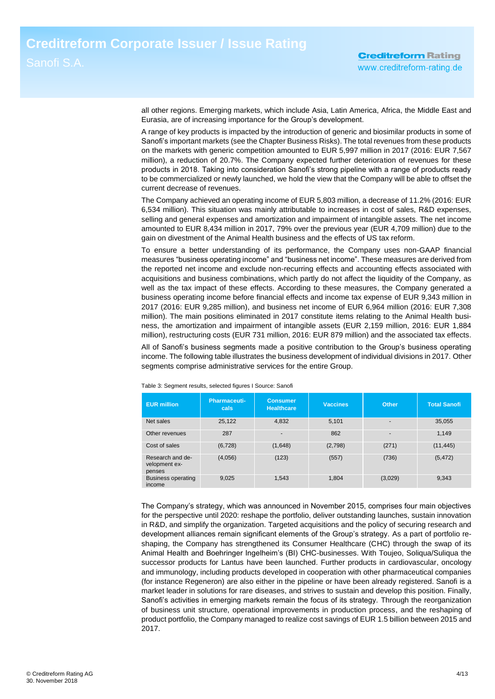all other regions. Emerging markets, which include Asia, Latin America, Africa, the Middle East and Eurasia, are of increasing importance for the Group's development.

A range of key products is impacted by the introduction of generic and biosimilar products in some of Sanofi's important markets (see the Chapter Business Risks). The total revenues from these products on the markets with generic competition amounted to EUR 5,997 million in 2017 (2016: EUR 7,567 million), a reduction of 20.7%. The Company expected further deterioration of revenues for these products in 2018. Taking into consideration Sanofi's strong pipeline with a range of products ready to be commercialized or newly launched, we hold the view that the Company will be able to offset the current decrease of revenues.

The Company achieved an operating income of EUR 5,803 million, a decrease of 11.2% (2016: EUR 6,534 million). This situation was mainly attributable to increases in cost of sales, R&D expenses, selling and general expenses and amortization and impairment of intangible assets. The net income amounted to EUR 8,434 million in 2017, 79% over the previous year (EUR 4,709 million) due to the gain on divestment of the Animal Health business and the effects of US tax reform.

To ensure a better understanding of its performance, the Company uses non-GAAP financial measures "business operating income" and "business net income". These measures are derived from the reported net income and exclude non-recurring effects and accounting effects associated with acquisitions and business combinations, which partly do not affect the liquidity of the Company, as well as the tax impact of these effects. According to these measures, the Company generated a business operating income before financial effects and income tax expense of EUR 9,343 million in 2017 (2016: EUR 9,285 million), and business net income of EUR 6,964 million (2016: EUR 7,308 million). The main positions eliminated in 2017 constitute items relating to the Animal Health business, the amortization and impairment of intangible assets (EUR 2,159 million, 2016: EUR 1,884 million), restructuring costs (EUR 731 million, 2016: EUR 879 million) and the associated tax effects.

All of Sanofi's business segments made a positive contribution to the Group's business operating income. The following table illustrates the business development of individual divisions in 2017. Other segments comprise administrative services for the entire Group.

| <b>EUR million</b>                          | Pharmaceuti-<br>cals | <b>Consumer</b><br><b>Healthcare</b> | <b>Vaccines</b> | Other                    | <b>Total Sanofi</b> |
|---------------------------------------------|----------------------|--------------------------------------|-----------------|--------------------------|---------------------|
| Net sales                                   | 25,122               | 4,832                                | 5,101           | $\overline{\phantom{0}}$ | 35,055              |
| Other revenues                              | 287                  | $\overline{\phantom{0}}$             | 862             | $\overline{a}$           | 1.149               |
| Cost of sales                               | (6, 728)             | (1,648)                              | (2,798)         | (271)                    | (11, 445)           |
| Research and de-<br>velopment ex-<br>penses | (4,056)              | (123)                                | (557)           | (736)                    | (5, 472)            |
| <b>Business operating</b><br>income         | 9,025                | 1,543                                | 1,804           | (3,029)                  | 9,343               |

Table 3: Segment results, selected figures I Source: Sanofi

The Company's strategy, which was announced in November 2015, comprises four main objectives for the perspective until 2020: reshape the portfolio, deliver outstanding launches, sustain innovation in R&D, and simplify the organization. Targeted acquisitions and the policy of securing research and development alliances remain significant elements of the Group's strategy. As a part of portfolio reshaping, the Company has strengthened its Consumer Healthcare (CHC) through the swap of its Animal Health and Boehringer Ingelheim's (BI) CHC-businesses. With Toujeo, Soliqua/Suliqua the successor products for Lantus have been launched. Further products in cardiovascular, oncology and immunology, including products developed in cooperation with other pharmaceutical companies (for instance Regeneron) are also either in the pipeline or have been already registered. Sanofi is a market leader in solutions for rare diseases, and strives to sustain and develop this position. Finally, Sanofi's activities in emerging markets remain the focus of its strategy. Through the reorganization of business unit structure, operational improvements in production process, and the reshaping of product portfolio, the Company managed to realize cost savings of EUR 1.5 billion between 2015 and 2017.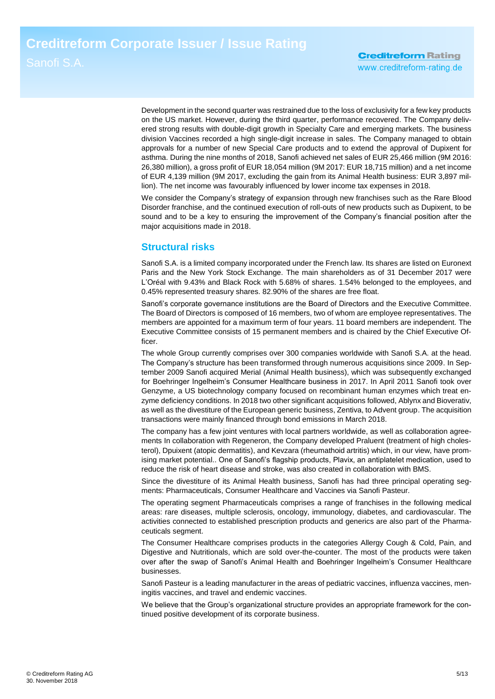Development in the second quarter was restrained due to the loss of exclusivity for a few key products on the US market. However, during the third quarter, performance recovered. The Company delivered strong results with double-digit growth in Specialty Care and emerging markets. The business division Vaccines recorded a high single-digit increase in sales. The Company managed to obtain approvals for a number of new Special Care products and to extend the approval of Dupixent for asthma. During the nine months of 2018, Sanofi achieved net sales of EUR 25,466 million (9M 2016: 26,380 million), a gross profit of EUR 18,054 million (9M 2017: EUR 18,715 million) and a net income of EUR 4,139 million (9M 2017, excluding the gain from its Animal Health business: EUR 3,897 million). The net income was favourably influenced by lower income tax expenses in 2018.

We consider the Company's strategy of expansion through new franchises such as the Rare Blood Disorder franchise, and the continued execution of roll-outs of new products such as Dupixent, to be sound and to be a key to ensuring the improvement of the Company's financial position after the major acquisitions made in 2018.

### **Structural risks**

Sanofi S.A. is a limited company incorporated under the French law. Its shares are listed on Euronext Paris and the New York Stock Exchange. The main shareholders as of 31 December 2017 were L'Oréal with 9.43% and Black Rock with 5.68% of shares. 1.54% belonged to the employees, and 0.45% represented treasury shares. 82.90% of the shares are free float.

Sanofi's corporate governance institutions are the Board of Directors and the Executive Committee. The Board of Directors is composed of 16 members, two of whom are employee representatives. The members are appointed for a maximum term of four years. 11 board members are independent. The Executive Committee consists of 15 permanent members and is chaired by the Chief Executive Officer.

The whole Group currently comprises over 300 companies worldwide with Sanofi S.A. at the head. The Company's structure has been transformed through numerous acquisitions since 2009. In September 2009 Sanofi acquired Merial (Animal Health business), which was subsequently exchanged for Boehringer Ingelheim's Consumer Healthcare business in 2017. In April 2011 Sanofi took over Genzyme, a US biotechnology company focused on recombinant human enzymes which treat enzyme deficiency conditions. In 2018 two other significant acquisitions followed, Ablynx and Bioverativ, as well as the divestiture of the European generic business, Zentiva, to Advent group. The acquisition transactions were mainly financed through bond emissions in March 2018.

The company has a few joint ventures with local partners worldwide, as well as collaboration agreements In collaboration with Regeneron, the Company developed Praluent (treatment of high cholesterol), Dpuixent (atopic dermatitis), and Kevzara (rheumathoid artritis) which, in our view, have promising market potential.. One of Sanofi's flagship products, Plavix, an antiplatelet medication, used to reduce the risk of heart disease and stroke, was also created in collaboration with BMS.

Since the divestiture of its Animal Health business, Sanofi has had three principal operating segments: Pharmaceuticals, Consumer Healthcare and Vaccines via Sanofi Pasteur.

The operating segment Pharmaceuticals comprises a range of franchises in the following medical areas: rare diseases, multiple sclerosis, oncology, immunology, diabetes, and cardiovascular. The activities connected to established prescription products and generics are also part of the Pharmaceuticals segment.

The Consumer Healthcare comprises products in the categories Allergy Cough & Cold, Pain, and Digestive and Nutritionals, which are sold over-the-counter. The most of the products were taken over after the swap of Sanofi's Animal Health and Boehringer Ingelheim's Consumer Healthcare businesses.

Sanofi Pasteur is a leading manufacturer in the areas of pediatric vaccines, influenza vaccines, meningitis vaccines, and travel and endemic vaccines.

We believe that the Group's organizational structure provides an appropriate framework for the continued positive development of its corporate business.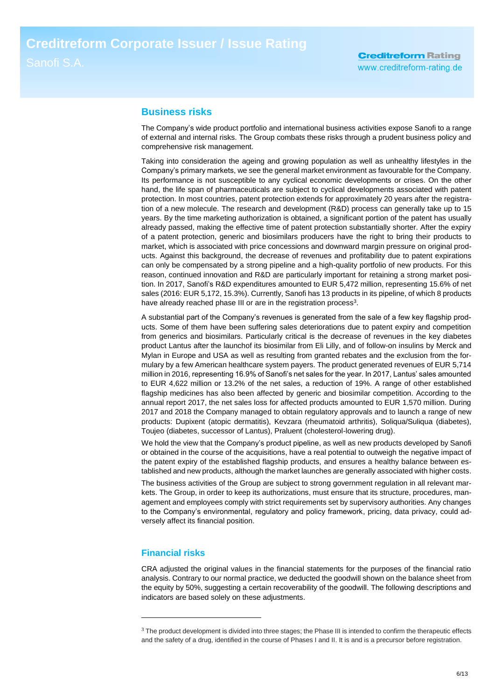### <span id="page-5-0"></span>**Business risks**

The Company's wide product portfolio and international business activities expose Sanofi to a range of external and internal risks. The Group combats these risks through a prudent business policy and comprehensive risk management.

Taking into consideration the ageing and growing population as well as unhealthy lifestyles in the Company's primary markets, we see the general market environment as favourable for the Company. Its performance is not susceptible to any cyclical economic developments or crises. On the other hand, the life span of pharmaceuticals are subject to cyclical developments associated with patent protection. In most countries, patent protection extends for approximately 20 years after the registration of a new molecule. The research and development (R&D) process can generally take up to 15 years. By the time marketing authorization is obtained, a significant portion of the patent has usually already passed, making the effective time of patent protection substantially shorter. After the expiry of a patent protection, generic and biosimilars producers have the right to bring their products to market, which is associated with price concessions and downward margin pressure on original products. Against this background, the decrease of revenues and profitability due to patent expirations can only be compensated by a strong pipeline and a high-quality portfolio of new products. For this reason, continued innovation and R&D are particularly important for retaining a strong market position. In 2017, Sanofi's R&D expenditures amounted to EUR 5,472 million, representing 15.6% of net sales (2016: EUR 5,172, 15.3%). Currently, Sanofi has 13 products in its pipeline, of which 8 products have already reached phase III or are in the registration process<sup>3</sup>.

A substantial part of the Company's revenues is generated from the sale of a few key flagship products. Some of them have been suffering sales deteriorations due to patent expiry and competition from generics and biosimilars. Particularly critical is the decrease of revenues in the key diabetes product Lantus after the launchof its biosimilar from Eli Lilly, and of follow-on insulins by Merck and Mylan in Europe and USA as well as resulting from granted rebates and the exclusion from the formulary by a few American healthcare system payers. The product generated revenues of EUR 5,714 million in 2016, representing 16.9% of Sanofi's net sales for the year. In 2017, Lantus' sales amounted to EUR 4,622 million or 13.2% of the net sales, a reduction of 19%. A range of other established flagship medicines has also been affected by generic and biosimilar competition. According to the annual report 2017, the net sales loss for affected products amounted to EUR 1,570 million. During 2017 and 2018 the Company managed to obtain regulatory approvals and to launch a range of new products: Dupixent (atopic dermatitis), Kevzara (rheumatoid arthritis), Soliqua/Suliqua (diabetes), Toujeo (diabetes, successor of Lantus), Praluent (cholesterol-lowering drug).

We hold the view that the Company's product pipeline, as well as new products developed by Sanofi or obtained in the course of the acquisitions, have a real potential to outweigh the negative impact of the patent expiry of the established flagship products, and ensures a healthy balance between established and new products, although the market launches are generally associated with higher costs.

The business activities of the Group are subject to strong government regulation in all relevant markets. The Group, in order to keep its authorizations, must ensure that its structure, procedures, management and employees comply with strict requirements set by supervisory authorities. Any changes to the Company's environmental, regulatory and policy framework, pricing, data privacy, could adversely affect its financial position.

### <span id="page-5-1"></span>**Financial risks**

-

CRA adjusted the original values in the financial statements for the purposes of the financial ratio analysis. Contrary to our normal practice, we deducted the goodwill shown on the balance sheet from the equity by 50%, suggesting a certain recoverability of the goodwill. The following descriptions and indicators are based solely on these adjustments.

<sup>&</sup>lt;sup>3</sup> The product development is divided into three stages; the Phase III is intended to confirm the therapeutic effects and the safety of a drug, identified in the course of Phases I and II. It is and is a precursor before registration.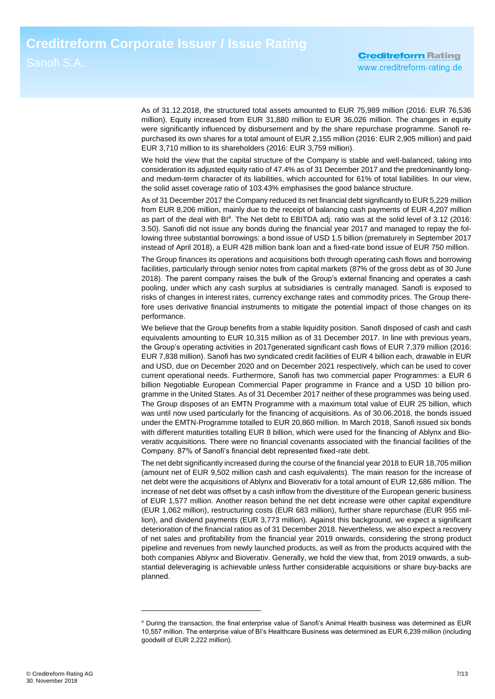As of 31.12.2018, the structured total assets amounted to EUR 75,989 million (2016: EUR 76,536 million). Equity increased from EUR 31,880 million to EUR 36,026 million. The changes in equity were significantly influenced by disbursement and by the share repurchase programme. Sanofi repurchased its own shares for a total amount of EUR 2,155 million (2016: EUR 2,905 million) and paid EUR 3,710 million to its shareholders (2016: EUR 3,759 million).

We hold the view that the capital structure of the Company is stable and well-balanced, taking into consideration its adjusted equity ratio of 47.4% as of 31 December 2017 and the predominantly longand medum-term character of its liabilities, which accounted for 61% of total liabilities. In our view, the solid asset coverage ratio of 103.43% emphasises the good balance structure.

As of 31 December 2017 the Company reduced its net financial debt significantly to EUR 5,229 million from EUR 8,206 million, mainly due to the receipt of balancing cash payments of EUR 4,207 million as part of the deal with BI<sup>4</sup>. The Net debt to EBITDA adj. ratio was at the solid level of 3.12 (2016: 3.50). Sanofi did not issue any bonds during the financial year 2017 and managed to repay the following three substantial borrowings: a bond issue of USD 1.5 billion (prematurely in September 2017 instead of April 2018), a EUR 428 million bank loan and a fixed-rate bond issue of EUR 750 million.

The Group finances its operations and acquisitions both through operating cash flows and borrowing facilities, particularly through senior notes from capital markets (87% of the gross debt as of 30 June 2018). The parent company raises the bulk of the Group's external financing and operates a cash pooling, under which any cash surplus at subsidiaries is centrally managed. Sanofi is exposed to risks of changes in interest rates, currency exchange rates and commodity prices. The Group therefore uses derivative financial instruments to mitigate the potential impact of those changes on its performance.

We believe that the Group benefits from a stable liquidity position. Sanofi disposed of cash and cash equivalents amounting to EUR 10,315 million as of 31 December 2017. In line with previous years, the Group's operating activities in 2017generated significant cash flows of EUR 7,379 million (2016: EUR 7,838 million). Sanofi has two syndicated credit facilities of EUR 4 billion each, drawable in EUR and USD, due on December 2020 and on December 2021 respectively, which can be used to cover current operational needs. Furthermore, Sanofi has two commercial paper Programmes: a EUR 6 billion Negotiable European Commercial Paper programme in France and a USD 10 billion programme in the United States. As of 31 December 2017 neither of these programmes was being used. The Group disposes of an EMTN Programme with a maximum total value of EUR 25 billion, which was until now used particularly for the financing of acquisitions. As of 30.06.2018, the bonds issued under the EMTN-Programme totalled to EUR 20,860 million. In March 2018, Sanofi issued six bonds with different maturities totalling EUR 8 billion, which were used for the financing of Ablynx and Bioverativ acquisitions. There were no financial covenants associated with the financial facilities of the Company. 87% of Sanofi's financial debt represented fixed-rate debt.

The net debt significantly increased during the course of the financial year 2018 to EUR 18,705 million (amount net of EUR 9,502 million cash and cash equivalents). The main reason for the increase of net debt were the acquisitions of Ablynx and Bioverativ for a total amount of EUR 12,686 million. The increase of net debt was offset by a cash inflow from the divestiture of the European generic business of EUR 1,577 million. Another reason behind the net debt increase were other capital expenditure (EUR 1,062 million), restructuring costs (EUR 683 million), further share repurchase (EUR 955 million), and dividend payments (EUR 3,773 million). Against this background, we expect a significant deterioration of the financial ratios as of 31 December 2018. Nevertheless, we also expect a recovery of net sales and profitability from the financial year 2019 onwards, considering the strong product pipeline and revenues from newly launched products, as well as from the products acquired with the both companies Ablynx and Bioverativ. Generally, we hold the view that, from 2019 onwards, a substantial deleveraging is achievable unless further considerable acquisitions or share buy-backs are planned.

-

<sup>4</sup> During the transaction, the final enterprise value of Sanofi's Animal Health business was determined as EUR 10,557 million. The enterprise value of BI's Healthcare Business was determined as EUR 6,239 million (including goodwill of EUR 2,222 million).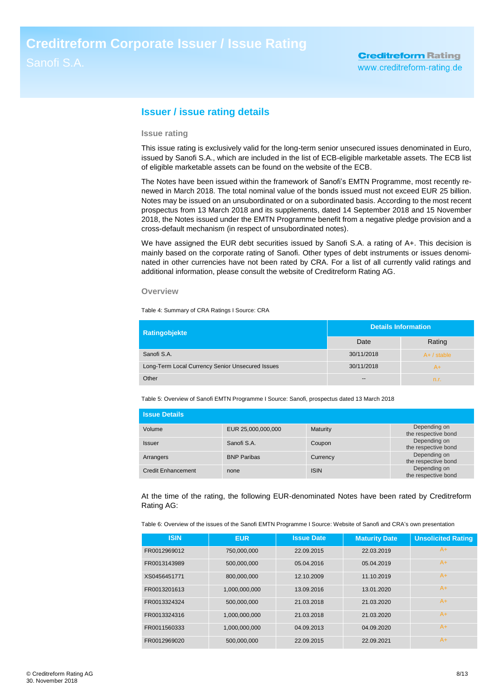### **Issuer / issue rating details**

### **Issue rating**

This issue rating is exclusively valid for the long-term senior unsecured issues denominated in Euro, issued by Sanofi S.A., which are included in the list of ECB-eligible marketable assets. The ECB list of eligible marketable assets can be found on the website of the ECB.

The Notes have been issued within the framework of Sanofi's EMTN Programme, most recently renewed in March 2018. The total nominal value of the bonds issued must not exceed EUR 25 billion. Notes may be issued on an unsubordinated or on a subordinated basis. According to the most recent prospectus from 13 March 2018 and its supplements, dated 14 September 2018 and 15 November 2018, the Notes issued under the EMTN Programme benefit from a negative pledge provision and a cross-default mechanism (in respect of unsubordinated notes).

We have assigned the EUR debt securities issued by Sanofi S.A. a rating of A+. This decision is mainly based on the corporate rating of Sanofi. Other types of debt instruments or issues denominated in other currencies have not been rated by CRA. For a list of all currently valid ratings and additional information, please consult the website of Creditreform Rating AG.

#### **Overview**

Table 4: Summary of CRA Ratings I Source: CRA

| Ratingobjekte                                    | <b>Details Information</b> |               |  |
|--------------------------------------------------|----------------------------|---------------|--|
|                                                  | Date                       | Rating        |  |
| Sanofi S.A.                                      | 30/11/2018                 | $A+ /$ stable |  |
| Long-Term Local Currency Senior Unsecured Issues | 30/11/2018                 | A+            |  |
| Other                                            | $- -$                      | n.r.          |  |

Table 5: Overview of Sanofi EMTN Programme I Source: Sanofi, prospectus dated 13 March 2018

| <b>Same Details</b>       |                    |             |                                     |
|---------------------------|--------------------|-------------|-------------------------------------|
| Volume                    | EUR 25,000,000,000 | Maturity    | Depending on<br>the respective bond |
| <b>Issuer</b>             | Sanofi S.A.        | Coupon      | Depending on<br>the respective bond |
| Arrangers                 | <b>BNP Paribas</b> | Currency    | Depending on<br>the respective bond |
| <b>Credit Enhancement</b> | none               | <b>ISIN</b> | Depending on<br>the respective bond |

At the time of the rating, the following EUR-denominated Notes have been rated by Creditreform Rating AG:

Table 6: Overview of the issues of the Sanofi EMTN Programme I Source: Website of Sanofi and CRA's own presentation

| <b>ISIN</b>  | <b>EUR</b>    | <b>Issue Date</b> | <b>Maturity Date</b> | <b>Unsolicited Rating</b> |
|--------------|---------------|-------------------|----------------------|---------------------------|
| FR0012969012 | 750,000,000   | 22.09.2015        | 22.03.2019           | $A+$                      |
| FR0013143989 | 500,000,000   | 05.04.2016        | 05.04.2019           | $A+$                      |
| XS0456451771 | 800,000,000   | 12.10.2009        | 11.10.2019           | $A+$                      |
| FR0013201613 | 1,000,000,000 | 13.09.2016        | 13.01.2020           | $A+$                      |
| FR0013324324 | 500,000,000   | 21.03.2018        | 21.03.2020           | $A+$                      |
| FR0013324316 | 1,000,000,000 | 21.03.2018        | 21.03.2020           | $A+$                      |
| FR0011560333 | 1,000,000,000 | 04.09.2013        | 04.09.2020           | $A+$                      |
| FR0012969020 | 500,000,000   | 22.09.2015        | 22.09.2021           | $A+$                      |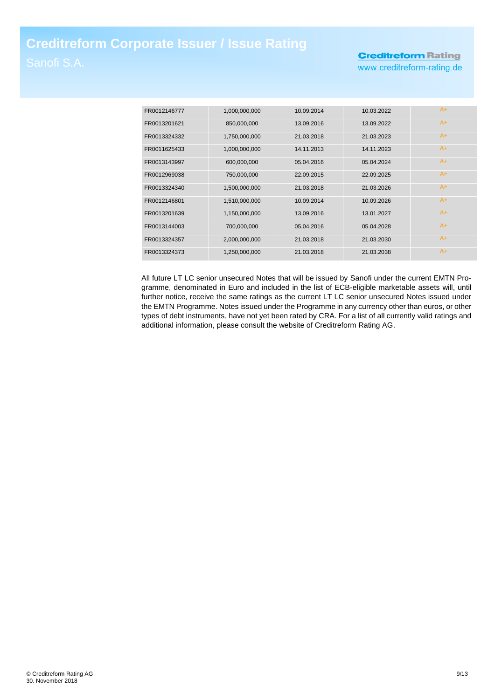# **Creditreform Rating**

www.creditreform-rating.de

| FR0012146777 | 1,000,000,000 | 10.09.2014 | 10.03.2022 | $A+$ |
|--------------|---------------|------------|------------|------|
| FR0013201621 | 850,000,000   | 13.09.2016 | 13.09.2022 | $A+$ |
| FR0013324332 | 1,750,000,000 | 21.03.2018 | 21.03.2023 | A+   |
| FR0011625433 | 1,000,000,000 | 14.11.2013 | 14.11.2023 | A+   |
| FR0013143997 | 600,000,000   | 05.04.2016 | 05.04.2024 | A+   |
| FR0012969038 | 750,000,000   | 22.09.2015 | 22.09.2025 | $A+$ |
| FR0013324340 | 1,500,000,000 | 21.03.2018 | 21.03.2026 | A+   |
| FR0012146801 | 1,510,000,000 | 10.09.2014 | 10.09.2026 | $A+$ |
| FR0013201639 | 1,150,000,000 | 13.09.2016 | 13.01.2027 | $A+$ |
| FR0013144003 | 700,000,000   | 05.04.2016 | 05.04.2028 | $A+$ |
| FR0013324357 | 2,000,000,000 | 21.03.2018 | 21.03.2030 | A+   |
| FR0013324373 | 1,250,000,000 | 21.03.2018 | 21.03.2038 | A+   |

All future LT LC senior unsecured Notes that will be issued by Sanofi under the current EMTN Programme, denominated in Euro and included in the list of ECB-eligible marketable assets will, until further notice, receive the same ratings as the current LT LC senior unsecured Notes issued under the EMTN Programme. Notes issued under the Programme in any currency other than euros, or other types of debt instruments, have not yet been rated by CRA. For a list of all currently valid ratings and additional information, please consult the website of Creditreform Rating AG.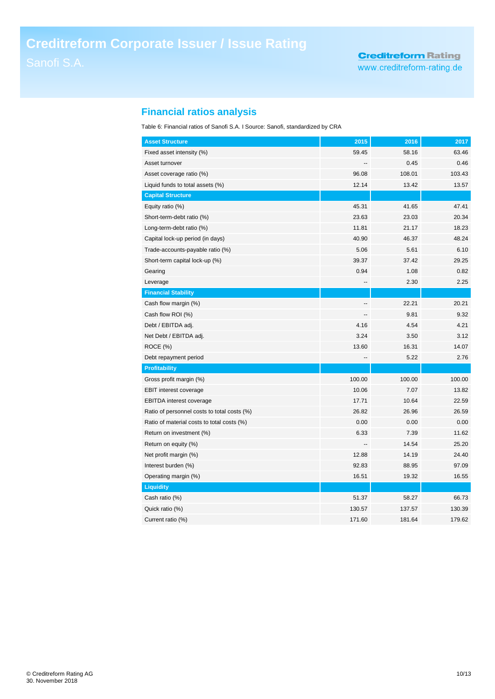# **Financial ratios analysis**

Table 6: Financial ratios of Sanofi S.A. I Source: Sanofi, standardized by CRA

| <b>Asset Structure</b>                      | 2015           | 2016   | 2017   |
|---------------------------------------------|----------------|--------|--------|
| Fixed asset intensity (%)                   | 59.45          | 58.16  | 63.46  |
| Asset turnover                              |                | 0.45   | 0.46   |
| Asset coverage ratio (%)                    | 96.08          | 108.01 | 103.43 |
| Liquid funds to total assets (%)            | 12.14          | 13.42  | 13.57  |
| <b>Capital Structure</b>                    |                |        |        |
| Equity ratio (%)                            | 45.31          | 41.65  | 47.41  |
| Short-term-debt ratio (%)                   | 23.63          | 23.03  | 20.34  |
| Long-term-debt ratio (%)                    | 11.81          | 21.17  | 18.23  |
| Capital lock-up period (in days)            | 40.90          | 46.37  | 48.24  |
| Trade-accounts-payable ratio (%)            | 5.06           | 5.61   | 6.10   |
| Short-term capital lock-up (%)              | 39.37          | 37.42  | 29.25  |
| Gearing                                     | 0.94           | 1.08   | 0.82   |
| Leverage                                    | $\overline{a}$ | 2.30   | 2.25   |
| <b>Financial Stability</b>                  |                |        |        |
| Cash flow margin (%)                        | ÷              | 22.21  | 20.21  |
| Cash flow ROI (%)                           | --             | 9.81   | 9.32   |
| Debt / EBITDA adj.                          | 4.16           | 4.54   | 4.21   |
| Net Debt / EBITDA adj.                      | 3.24           | 3.50   | 3.12   |
| ROCE (%)                                    | 13.60          | 16.31  | 14.07  |
| Debt repayment period                       |                | 5.22   | 2.76   |
| <b>Profitability</b>                        |                |        |        |
| Gross profit margin (%)                     | 100.00         | 100.00 | 100.00 |
| <b>EBIT interest coverage</b>               | 10.06          | 7.07   | 13.82  |
| <b>EBITDA</b> interest coverage             | 17.71          | 10.64  | 22.59  |
| Ratio of personnel costs to total costs (%) | 26.82          | 26.96  | 26.59  |
| Ratio of material costs to total costs (%)  | 0.00           | 0.00   | 0.00   |
| Return on investment (%)                    | 6.33           | 7.39   | 11.62  |
| Return on equity (%)                        |                | 14.54  | 25.20  |
| Net profit margin (%)                       | 12.88          | 14.19  | 24.40  |
| Interest burden (%)                         | 92.83          | 88.95  | 97.09  |
| Operating margin (%)                        | 16.51          | 19.32  | 16.55  |
| <b>Liquidity</b>                            |                |        |        |
| Cash ratio (%)                              | 51.37          | 58.27  | 66.73  |
| Quick ratio (%)                             | 130.57         | 137.57 | 130.39 |
| Current ratio (%)                           | 171.60         | 181.64 | 179.62 |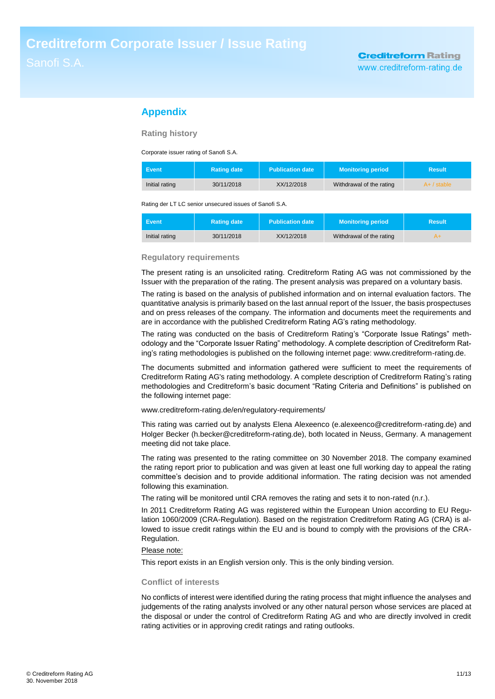# **Appendix**

**Rating history**

Corporate issuer rating of Sanofi S.A.

| <b>Event</b>   | <b>Rating date</b> | <b>Publication date</b> | <b>Monitoring period</b> | <b>Result</b> |
|----------------|--------------------|-------------------------|--------------------------|---------------|
| Initial rating | 30/11/2018         | XX/12/2018              | Withdrawal of the rating | $A+$ / stable |

Rating der LT LC senior unsecured issues of Sanofi S.A.

| Event          | <b>∖Ratin</b> ɑ date ˈ | <b>Publication date</b> | <b>Monitoring period</b> | Result |
|----------------|------------------------|-------------------------|--------------------------|--------|
| Initial rating | 30/11/2018             | XX/12/2018              | Withdrawal of the rating |        |

### **Regulatory requirements**

The present rating is an unsolicited rating. Creditreform Rating AG was not commissioned by the Issuer with the preparation of the rating. The present analysis was prepared on a voluntary basis.

The rating is based on the analysis of published information and on internal evaluation factors. The quantitative analysis is primarily based on the last annual report of the Issuer, the basis prospectuses and on press releases of the company. The information and documents meet the requirements and are in accordance with the published Creditreform Rating AG's rating methodology.

The rating was conducted on the basis of Creditreform Rating's "Corporate Issue Ratings" methodology and the "Corporate Issuer Rating" methodology. A complete description of Creditreform Rating's rating methodologies is published on the following internet page: www.creditreform-rating.de.

The documents submitted and information gathered were sufficient to meet the requirements of Creditreform Rating AG's rating methodology. A complete description of Creditreform Rating's rating methodologies and Creditreform's basic document "Rating Criteria and Definitions" is published on the following internet page:

www.creditreform-rating.de/en/regulatory-requirements/

This rating was carried out by analysts Elena Alexeenco (e.alexeenco@creditreform-rating.de) and Holger Becker (h.becker@creditreform-rating.de), both located in Neuss, Germany. A management meeting did not take place.

The rating was presented to the rating committee on 30 November 2018. The company examined the rating report prior to publication and was given at least one full working day to appeal the rating committee's decision and to provide additional information. The rating decision was not amended following this examination.

The rating will be monitored until CRA removes the rating and sets it to non-rated (n.r.).

In 2011 Creditreform Rating AG was registered within the European Union according to EU Regulation 1060/2009 (CRA-Regulation). Based on the registration Creditreform Rating AG (CRA) is allowed to issue credit ratings within the EU and is bound to comply with the provisions of the CRA-Regulation.

### Please note:

This report exists in an English version only. This is the only binding version.

### **Conflict of interests**

No conflicts of interest were identified during the rating process that might influence the analyses and judgements of the rating analysts involved or any other natural person whose services are placed at the disposal or under the control of Creditreform Rating AG and who are directly involved in credit rating activities or in approving credit ratings and rating outlooks.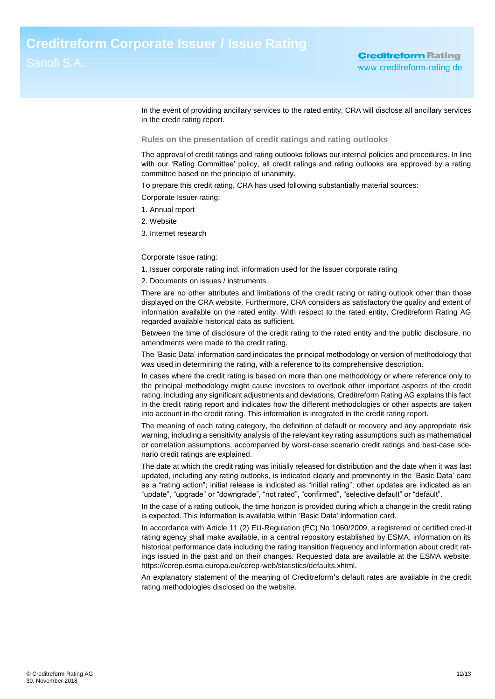In the event of providing ancillary services to the rated entity, CRA will disclose all ancillary services in the credit rating report.

### **Rules on the presentation of credit ratings and rating outlooks**

The approval of credit ratings and rating outlooks follows our internal policies and procedures. In line with our 'Rating Committee' policy, all credit ratings and rating outlooks are approved by a rating committee based on the principle of unanimity.

To prepare this credit rating, CRA has used following substantially material sources:

Corporate Issuer rating:

- 1. Annual report
- 2. Website
- 3. Internet research

Corporate Issue rating:

1. Issuer corporate rating incl. information used for the Issuer corporate rating

2. Documents on issues / instruments

There are no other attributes and limitations of the credit rating or rating outlook other than those displayed on the CRA website. Furthermore, CRA considers as satisfactory the quality and extent of information available on the rated entity. With respect to the rated entity, Creditreform Rating AG regarded available historical data as sufficient.

Between the time of disclosure of the credit rating to the rated entity and the public disclosure, no amendments were made to the credit rating.

The 'Basic Data' information card indicates the principal methodology or version of methodology that was used in determining the rating, with a reference to its comprehensive description.

In cases where the credit rating is based on more than one methodology or where reference only to the principal methodology might cause investors to overlook other important aspects of the credit rating, including any significant adjustments and deviations, Creditreform Rating AG explains this fact in the credit rating report and indicates how the different methodologies or other aspects are taken into account in the credit rating. This information is integrated in the credit rating report.

The meaning of each rating category, the definition of default or recovery and any appropriate risk warning, including a sensitivity analysis of the relevant key rating assumptions such as mathematical or correlation assumptions, accompanied by worst-case scenario credit ratings and best-case scenario credit ratings are explained.

The date at which the credit rating was initially released for distribution and the date when it was last updated, including any rating outlooks, is indicated clearly and prominently in the 'Basic Data' card as a "rating action"; initial release is indicated as "initial rating", other updates are indicated as an "update", "upgrade" or "downgrade", "not rated", "confirmed", "selective default" or "default".

In the case of a rating outlook, the time horizon is provided during which a change in the credit rating is expected. This information is available within 'Basic Data' information card.

In accordance with Article 11 (2) EU-Regulation (EC) No 1060/2009, a registered or certified cred-it rating agency shall make available, in a central repository established by ESMA, information on its historical performance data including the rating transition frequency and information about credit ratings issued in the past and on their changes. Requested data are available at the ESMA website: https://cerep.esma.europa.eu/cerep-web/statistics/defaults.xhtml.

An explanatory statement of the meaning of Creditreform**'**s default rates are available in the credit rating methodologies disclosed on the website.